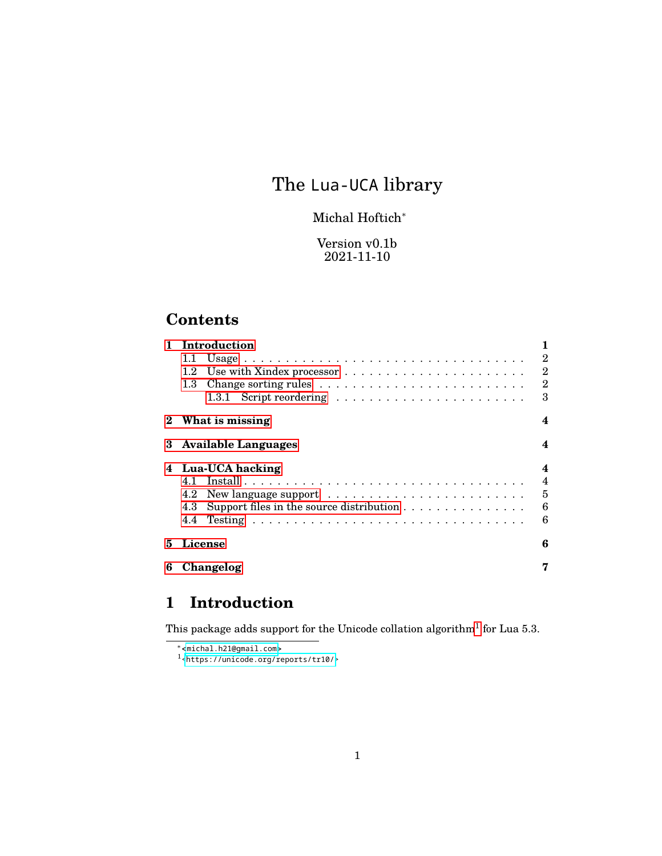# The Lua-UCA library

### Michal Hoftich<sup>∗</sup>

### Version v0.1b 2021-11-10

## **Contents**

|   | Introduction                                    |                |
|---|-------------------------------------------------|----------------|
|   | 1.1                                             | 2              |
|   | $1.2^{\circ}$                                   | $\overline{2}$ |
|   | 1.3 <sub>z</sub>                                | $\overline{2}$ |
|   |                                                 | 3              |
|   | What is missing                                 | 4              |
| 3 | <b>Available Languages</b>                      | 4              |
|   | 4 Lua-UCA hacking                               | 4              |
|   | 41                                              | 4              |
|   | 4.2                                             | 5              |
|   | Support files in the source distribution<br>4.3 | 6              |
|   | 4.4                                             | 6              |
| 5 | License                                         | 6              |
| 6 | Changelog                                       |                |
|   |                                                 |                |

## <span id="page-0-0"></span>**1 Introduction**

This package adds support for the Unicode collation algorithm<sup>[1](#page-0-1)</sup> for Lua 5.3.

<span id="page-0-1"></span><sup>1</sup>[<https://unicode.org/reports/tr10/>](https://unicode.org/reports/tr10/)

<sup>∗</sup><<michal.h21@gmail.com>>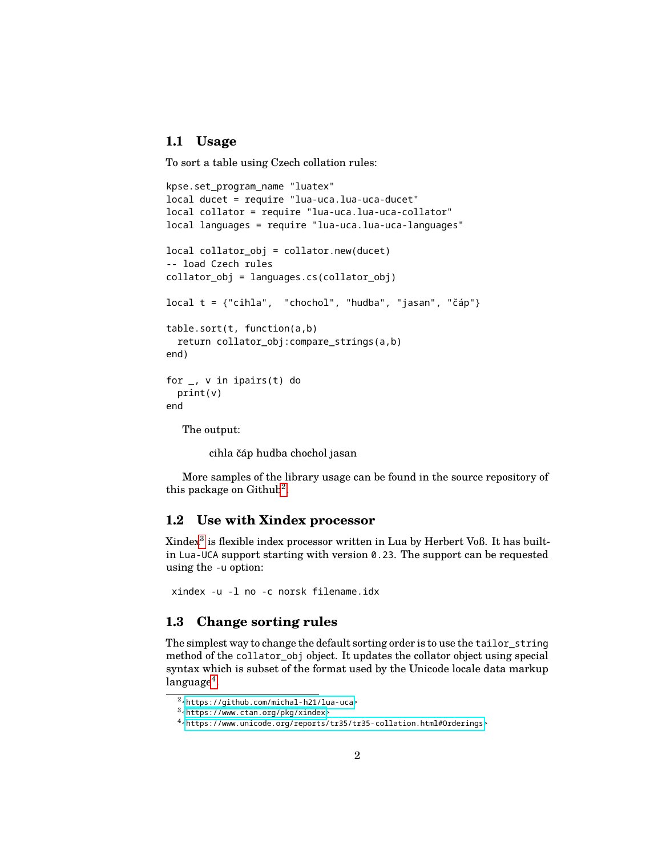### <span id="page-1-0"></span>**1.1 Usage**

To sort a table using Czech collation rules:

```
kpse.set_program_name "luatex"
local ducet = require "lua-uca.lua-uca-ducet"
local collator = require "lua-uca.lua-uca-collator"
local languages = require "lua-uca.lua-uca-languages"
local collator obj = collator.new(ducet)
-- load Czech rules
collator_obj = languages.cs(collator_obj)
local t = {"cihla", "chochol", "hudba", "jasan", "čáp"}
table.sort(t, function(a,b)
 return collator_obj:compare_strings(a,b)
end)
for _, v in ipairs(t) do
 print(v)
end
  The output:
```
cihla čáp hudba chochol jasan

More samples of the library usage can be found in the source repository of this package on Github<sup>[2](#page-1-3)</sup>.

### <span id="page-1-1"></span>**1.2 Use with Xindex processor**

Xindex[3](#page-1-4) is flexible index processor written in Lua by Herbert Voß. It has builtin Lua-UCA support starting with version 0.23. The support can be requested using the -u option:

xindex -u -l no -c norsk filename.idx

#### <span id="page-1-2"></span>**1.3 Change sorting rules**

The simplest way to change the default sorting order is to use the tailor\_string method of the collator\_obj object. It updates the collator object using special syntax which is subset of the format used by the Unicode locale data markup  $\rm{language^4}.$  $\rm{language^4}.$  $\rm{language^4}.$ 

<span id="page-1-3"></span><sup>2</sup>[<https://github.com/michal-h21/lua-uca>](https://github.com/michal-h21/lua-uca)

<span id="page-1-4"></span><sup>3</sup>[<https://www.ctan.org/pkg/xindex>](https://www.ctan.org/pkg/xindex)

<span id="page-1-5"></span><sup>4</sup>[<https://www.unicode.org/reports/tr35/tr35-collation.html#Orderings>](https://www.unicode.org/reports/tr35/tr35-collation.html#Orderings)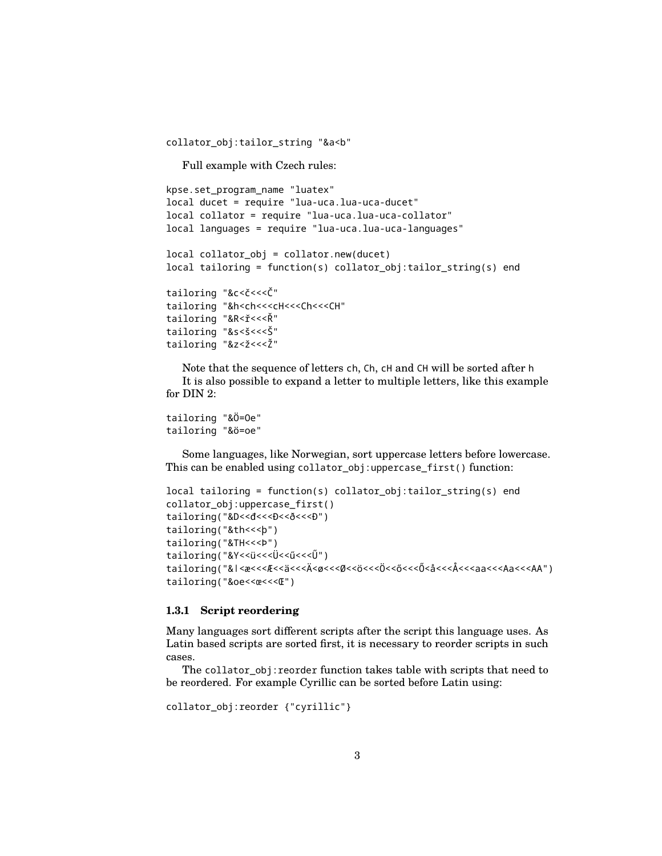collator\_obj:tailor\_string "&a<b"

Full example with Czech rules:

```
kpse.set_program_name "luatex"
local ducet = require "lua-uca.lua-uca-ducet"
local collator = require "lua-uca.lua-uca-collator"
local languages = require "lua-uca.lua-uca-languages"
local collator_obj = collator.new(ducet)
local tailoring = function(s) collator_obj:tailor_string(s) end
tailoring "&c<č<<<Č"
tailoring "&h<ch<<<cH<<<Ch<<<CH"
tailoring "&R<ř<<<Ř"
tailoring "&s<š<<<Š"
tailoring "&z<ž<<<Ž"
```
Note that the sequence of letters ch, Ch, cH and CH will be sorted after h It is also possible to expand a letter to multiple letters, like this example for DIN 2:

```
tailoring "&Ö=Oe"
tailoring "&ö=oe"
```
Some languages, like Norwegian, sort uppercase letters before lowercase. This can be enabled using collator\_obj:uppercase\_first() function:

```
local tailoring = function(s) collator_obj:tailor_string(s) end
collator_obj:uppercase_first()
tailoring("&D << d <<< {D << d << << br/>p << d << d >
tailoring("&th<<<þ")
tailoring("&TH<<<Þ")
tailoring("&Y<<ü<<<Ü<<ű<<<Ű")
tailoring("&ǀ<æ<<<Æ<<ä<<<Ä<ø<<<Ø<<ö<<<Ö<<ő<<<Ő<å<<<Å<<<aa<<<Aa<<<AA")
tailoring("&oe<<œ<<<Œ")
```
#### <span id="page-2-0"></span>**1.3.1 Script reordering**

Many languages sort different scripts after the script this language uses. As Latin based scripts are sorted first, it is necessary to reorder scripts in such cases.

The collator obj: reorder function takes table with scripts that need to be reordered. For example Cyrillic can be sorted before Latin using:

```
collator_obj:reorder {"cyrillic"}
```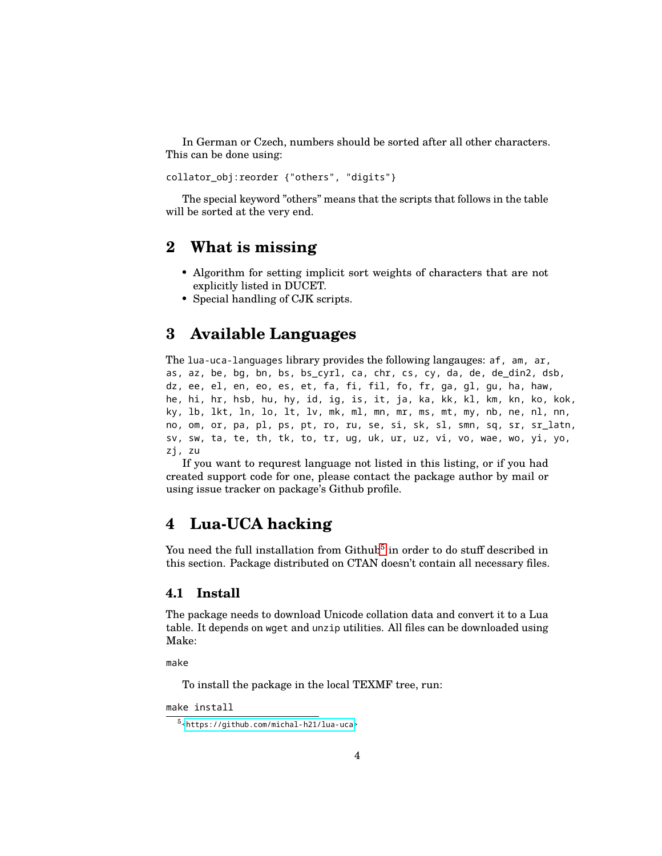In German or Czech, numbers should be sorted after all other characters. This can be done using:

collator\_obj:reorder {"others", "digits"}

The special keyword "others" means that the scripts that follows in the table will be sorted at the very end.

### <span id="page-3-0"></span>**2 What is missing**

- Algorithm for setting implicit sort weights of characters that are not explicitly listed in DUCET.
- Special handling of CJK scripts.

### <span id="page-3-1"></span>**3 Available Languages**

The lua-uca-languages library provides the following langauges: af, am, ar, as, az, be, bg, bn, bs, bs\_cyrl, ca, chr, cs, cy, da, de, de\_din2, dsb, dz, ee, el, en, eo, es, et, fa, fi, fil, fo, fr, ga, gl, gu, ha, haw, he, hi, hr, hsb, hu, hy, id, ig, is, it, ja, ka, kk, kl, km, kn, ko, kok, ky, lb, lkt, ln, lo, lt, lv, mk, ml, mn, mr, ms, mt, my, nb, ne, nl, nn, no, om, or, pa, pl, ps, pt, ro, ru, se, si, sk, sl, smn, sq, sr, sr\_latn, sv, sw, ta, te, th, tk, to, tr, ug, uk, ur, uz, vi, vo, wae, wo, yi, yo, zj, zu

If you want to requrest language not listed in this listing, or if you had created support code for one, please contact the package author by mail or using issue tracker on package's Github profile.

### <span id="page-3-2"></span>**4 Lua-UCA hacking**

You need the full installation from  $\mathrm{Github}^5$  $\mathrm{Github}^5$  in order to do stuff described in this section. Package distributed on CTAN doesn't contain all necessary files.

### <span id="page-3-3"></span>**4.1 Install**

The package needs to download Unicode collation data and convert it to a Lua table. It depends on wget and unzip utilities. All files can be downloaded using Make:

make

To install the package in the local TEXMF tree, run:

```
make install
```
<span id="page-3-4"></span><sup>5</sup>[<https://github.com/michal-h21/lua-uca>](https://github.com/michal-h21/lua-uca)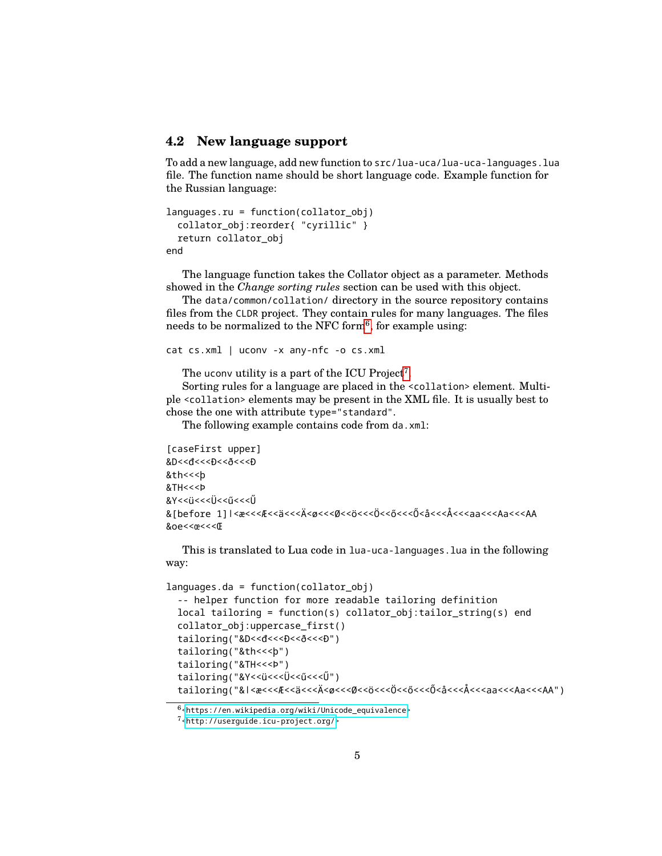### <span id="page-4-0"></span>**4.2 New language support**

To add a new language, add new function to src/lua-uca/lua-uca-languages.lua file. The function name should be short language code. Example function for the Russian language:

```
languages.ru = function(collator_obj)
  collator_obj:reorder{ "cyrillic" }
 return collator_obj
end
```
The language function takes the Collator object as a parameter. Methods showed in the *Change sorting rules* section can be used with this object.

The data/common/collation/ directory in the source repository contains files from the CLDR project. They contain rules for many languages. The files needs to be normalized to the NFC form<sup>[6](#page-4-1)</sup>, for example using:

```
cat cs.xml | uconv -x any-nfc -o cs.xml
```
The uconv utility is a part of the ICU Project<sup>[7](#page-4-2)</sup>.

Sorting rules for a language are placed in the <collation> element. Multiple <collation> elements may be present in the XML file. It is usually best to chose the one with attribute type="standard".

The following example contains code from da.xml:

```
[caseFirst upper]
&D<<đ<<<Đ<<ð<<<Ð
&th<<<þ
&TH<<<Þ
&Y<<ü <<<Ü<<ű <<<Ű
&[before 1]ǀ<æ<<<Æ<<ä<<<Ä<ø<<<Ø<<ö<<<Ö<<ő<<<Ő<å<<<Å<<<aa<<<Aa<<<AA
&oe<<œ<<<Œ
```
This is translated to Lua code in lua-uca-languages.lua in the following way:

```
languages.da = function(collator_obj)
  -- helper function for more readable tailoring definition
 local tailoring = function(s) collator_obj:tailor_string(s) end
 collator_obj:uppercase_first()
  tailoring("&D<<d<<<br/>eD<<d><<<<<<<br/>P")
 tailoring("&th<<<þ")
 tailoring("&TH<<<Þ")
 tailoring("&Y<<ü<<<Ü<<ű<<<Ű")
  tailoring("&ǀ<æ<<<Æ<<ä<<<Ä<ø<<<Ø<<ö<<<Ö<<ő<<<Ő<å<<<Å<<<aa<<<Aa<<<AA")
```
<span id="page-4-1"></span> $6$ [<https://en.wikipedia.org/wiki/Unicode\\_equivalence>](https://en.wikipedia.org/wiki/Unicode_equivalence)

<span id="page-4-2"></span><sup>7</sup>[<http://userguide.icu-project.org/>](http://userguide.icu-project.org/)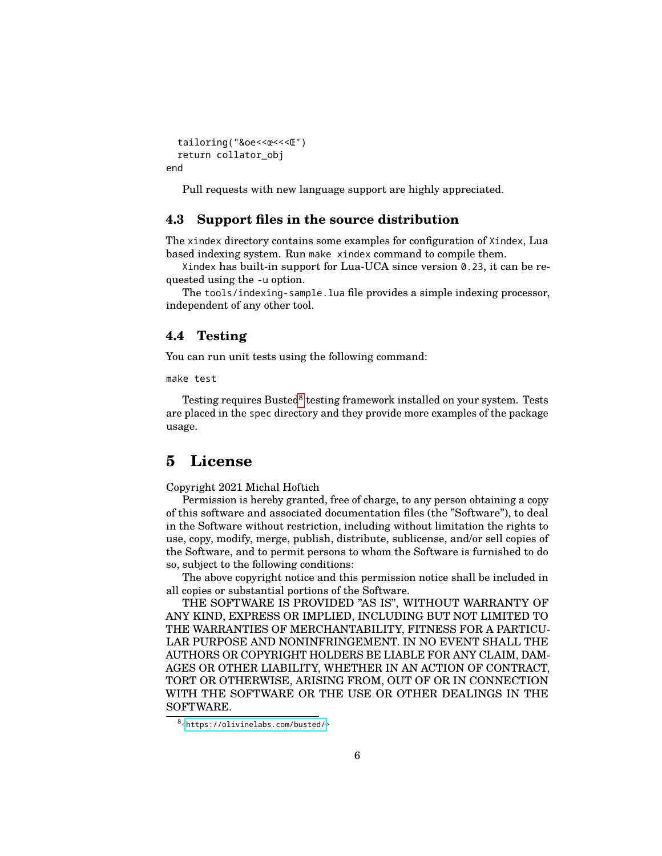```
tailoring("&oe<<œ<<<Œ")
 return collator_obj
end
```
Pull requests with new language support are highly appreciated.

#### <span id="page-5-0"></span>**4.3 Support files in the source distribution**

The xindex directory contains some examples for configuration of Xindex, Lua based indexing system. Run make xindex command to compile them.

Xindex has built-in support for Lua-UCA since version 0.23, it can be requested using the -u option.

The tools/indexing-sample.lua file provides a simple indexing processor, independent of any other tool.

#### <span id="page-5-1"></span>**4.4 Testing**

You can run unit tests using the following command:

make test

Testing requires Busted<sup>[8](#page-5-3)</sup> testing framework installed on your system. Tests are placed in the spec directory and they provide more examples of the package usage.

### <span id="page-5-2"></span>**5 License**

Copyright 2021 Michal Hoftich

Permission is hereby granted, free of charge, to any person obtaining a copy of this software and associated documentation files (the "Software"), to deal in the Software without restriction, including without limitation the rights to use, copy, modify, merge, publish, distribute, sublicense, and/or sell copies of the Software, and to permit persons to whom the Software is furnished to do so, subject to the following conditions:

The above copyright notice and this permission notice shall be included in all copies or substantial portions of the Software.

THE SOFTWARE IS PROVIDED "AS IS", WITHOUT WARRANTY OF ANY KIND, EXPRESS OR IMPLIED, INCLUDING BUT NOT LIMITED TO THE WARRANTIES OF MERCHANTABILITY, FITNESS FOR A PARTICU-LAR PURPOSE AND NONINFRINGEMENT. IN NO EVENT SHALL THE AUTHORS OR COPYRIGHT HOLDERS BE LIABLE FOR ANY CLAIM, DAM-AGES OR OTHER LIABILITY, WHETHER IN AN ACTION OF CONTRACT, TORT OR OTHERWISE, ARISING FROM, OUT OF OR IN CONNECTION WITH THE SOFTWARE OR THE USE OR OTHER DEALINGS IN THE SOFTWARE.

<span id="page-5-3"></span><sup>8</sup>[<https://olivinelabs.com/busted/>](https://olivinelabs.com/busted/)